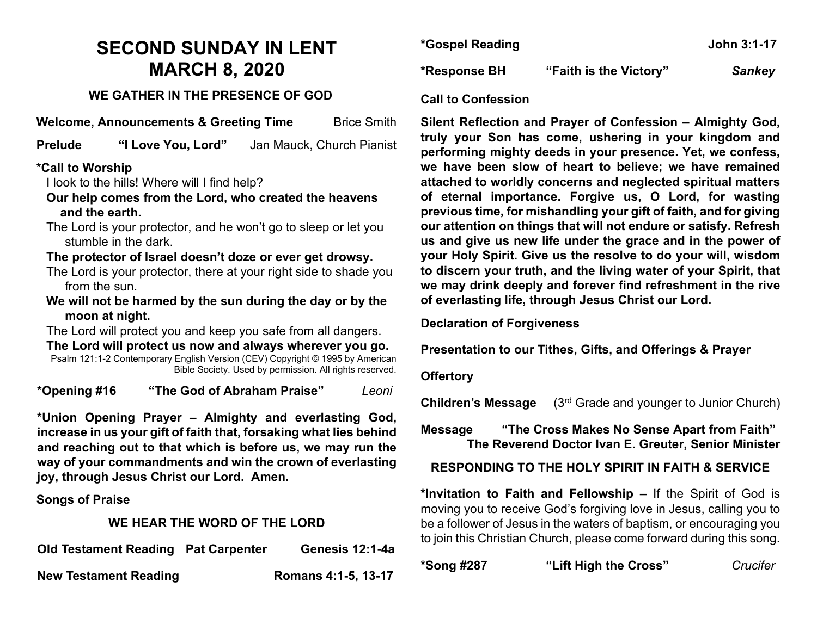# **SECOND SUNDAY IN LENT MARCH 8, 2020**

## **WE GATHER IN THE PRESENCE OF GOD**

**Welcome, Announcements & Greeting Time** Brice Smith

**Prelude "I Love You, Lord"** Jan Mauck, Church Pianist

## **\*Call to Worship**

I look to the hills! Where will I find help?

- **Our help comes from the Lord, who created the heavens and the earth.**
- The Lord is your protector, and he won't go to sleep or let you stumble in the dark.

# **The protector of Israel doesn't doze or ever get drowsy.**

- The Lord is your protector, there at your right side to shade you from the sun.
- **We will not be harmed by the sun during the day or by the moon at night.**

The Lord will protect you and keep you safe from all dangers.

**The Lord will protect us now and always wherever you go.** Psalm 121:1-2 Contemporary English Version (CEV) Copyright © 1995 by American Bible Society. Used by permission. All rights reserved.

**\*Opening #16 "The God of Abraham Praise"** *Leoni*

**\*Union Opening Prayer – Almighty and everlasting God, increase in us your gift of faith that, forsaking what lies behind and reaching out to that which is before us, we may run the way of your commandments and win the crown of everlasting joy, through Jesus Christ our Lord. Amen.**

**Songs of Praise**

# **WE HEAR THE WORD OF THE LORD**

| <b>Old Testament Reading Pat Carpenter</b> | Genesis 12:1-4a     |
|--------------------------------------------|---------------------|
| <b>New Testament Reading</b>               | Romans 4:1-5, 13-17 |

| *Gospel Reading |                        | John 3:1-17   |
|-----------------|------------------------|---------------|
| *Response BH    | "Faith is the Victory" | <b>Sankey</b> |

#### **Call to Confession**

**Silent Reflection and Prayer of Confession – Almighty God, truly your Son has come, ushering in your kingdom and performing mighty deeds in your presence. Yet, we confess, we have been slow of heart to believe; we have remained attached to worldly concerns and neglected spiritual matters of eternal importance. Forgive us, O Lord, for wasting previous time, for mishandling your gift of faith, and for giving our attention on things that will not endure or satisfy. Refresh us and give us new life under the grace and in the power of your Holy Spirit. Give us the resolve to do your will, wisdom to discern your truth, and the living water of your Spirit, that we may drink deeply and forever find refreshment in the rive of everlasting life, through Jesus Christ our Lord.**

**Declaration of Forgiveness**

**Presentation to our Tithes, Gifts, and Offerings & Prayer**

## **Offertory**

**Children's Message** (3rd Grade and younger to Junior Church)

# **Message "The Cross Makes No Sense Apart from Faith" The Reverend Doctor Ivan E. Greuter, Senior Minister**

**RESPONDING TO THE HOLY SPIRIT IN FAITH & SERVICE**

**\*Invitation to Faith and Fellowship –** If the Spirit of God is moving you to receive God's forgiving love in Jesus, calling you to be a follower of Jesus in the waters of baptism, or encouraging you to join this Christian Church, please come forward during this song.

**\*Song #287 "Lift High the Cross"** *Crucifer*